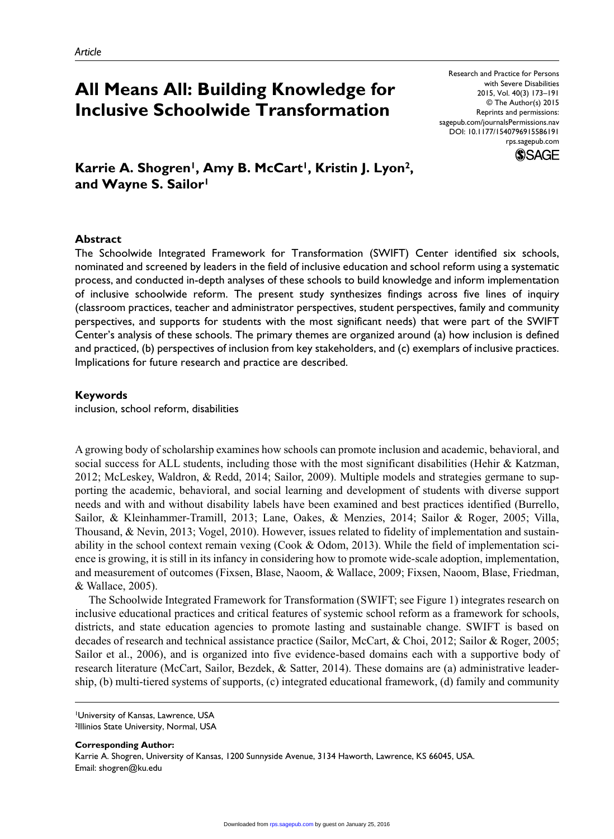# **All Means All: Building Knowledge for Inclusive Schoolwide Transformation**

Research and Practice for Persons with Severe Disabilities 2015, Vol. 40(3) 173–191 © The Author(s) 2015 Reprints and permissions: sagepub.com/journalsPermissions.nav DOI: 10.1177/1540796915586191 rps.sagepub.com



## Karrie A. Shogren<sup>1</sup>, Amy B. McCart<sup>1</sup>, Kristin J. Lyon<sup>2</sup>, **and Wayne S. Sailor1**

#### **Abstract**

The Schoolwide Integrated Framework for Transformation (SWIFT) Center identified six schools, nominated and screened by leaders in the field of inclusive education and school reform using a systematic process, and conducted in-depth analyses of these schools to build knowledge and inform implementation of inclusive schoolwide reform. The present study synthesizes findings across five lines of inquiry (classroom practices, teacher and administrator perspectives, student perspectives, family and community perspectives, and supports for students with the most significant needs) that were part of the SWIFT Center's analysis of these schools. The primary themes are organized around (a) how inclusion is defined and practiced, (b) perspectives of inclusion from key stakeholders, and (c) exemplars of inclusive practices. Implications for future research and practice are described.

#### **Keywords**

inclusion, school reform, disabilities

A growing body of scholarship examines how schools can promote inclusion and academic, behavioral, and social success for ALL students, including those with the most significant disabilities (Hehir & Katzman, 2012; McLeskey, Waldron, & Redd, 2014; Sailor, 2009). Multiple models and strategies germane to supporting the academic, behavioral, and social learning and development of students with diverse support needs and with and without disability labels have been examined and best practices identified (Burrello, Sailor, & Kleinhammer-Tramill, 2013; Lane, Oakes, & Menzies, 2014; Sailor & Roger, 2005; Villa, Thousand, & Nevin, 2013; Vogel, 2010). However, issues related to fidelity of implementation and sustainability in the school context remain vexing (Cook & Odom, 2013). While the field of implementation science is growing, it is still in its infancy in considering how to promote wide-scale adoption, implementation, and measurement of outcomes (Fixsen, Blase, Naoom, & Wallace, 2009; Fixsen, Naoom, Blase, Friedman, & Wallace, 2005).

The Schoolwide Integrated Framework for Transformation (SWIFT; see Figure 1) integrates research on inclusive educational practices and critical features of systemic school reform as a framework for schools, districts, and state education agencies to promote lasting and sustainable change. SWIFT is based on decades of research and technical assistance practice (Sailor, McCart, & Choi, 2012; Sailor & Roger, 2005; Sailor et al., 2006), and is organized into five evidence-based domains each with a supportive body of research literature (McCart, Sailor, Bezdek, & Satter, 2014). These domains are (a) administrative leadership, (b) multi-tiered systems of supports, (c) integrated educational framework, (d) family and community

1University of Kansas, Lawrence, USA 2Illinios State University, Normal, USA

**Corresponding Author:**

Karrie A. Shogren, University of Kansas, 1200 Sunnyside Avenue, 3134 Haworth, Lawrence, KS 66045, USA. Email: [shogren@ku.edu](mailto:shogren@ku.edu)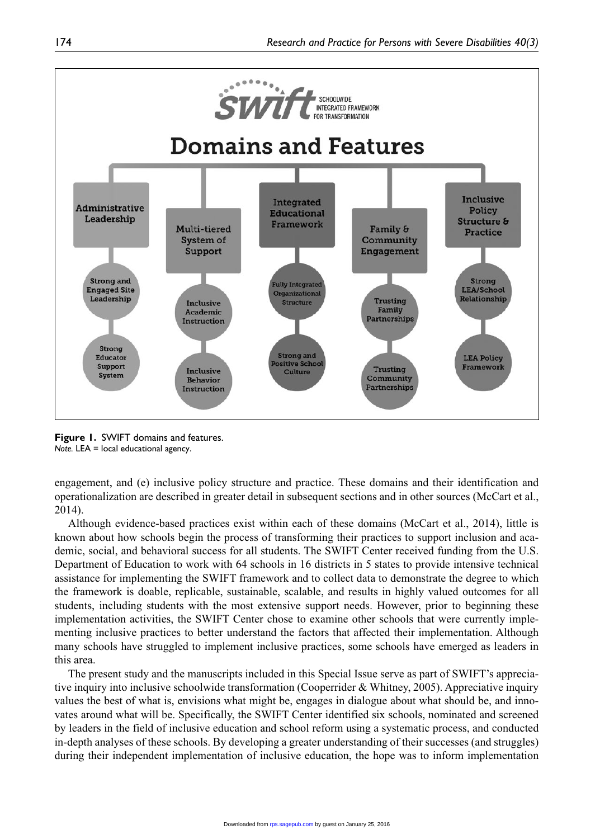

**Figure 1.** SWIFT domains and features. *Note.* LEA = local educational agency.

engagement, and (e) inclusive policy structure and practice. These domains and their identification and operationalization are described in greater detail in subsequent sections and in other sources (McCart et al., 2014).

Although evidence-based practices exist within each of these domains (McCart et al., 2014), little is known about how schools begin the process of transforming their practices to support inclusion and academic, social, and behavioral success for all students. The SWIFT Center received funding from the U.S. Department of Education to work with 64 schools in 16 districts in 5 states to provide intensive technical assistance for implementing the SWIFT framework and to collect data to demonstrate the degree to which the framework is doable, replicable, sustainable, scalable, and results in highly valued outcomes for all students, including students with the most extensive support needs. However, prior to beginning these implementation activities, the SWIFT Center chose to examine other schools that were currently implementing inclusive practices to better understand the factors that affected their implementation. Although many schools have struggled to implement inclusive practices, some schools have emerged as leaders in this area.

The present study and the manuscripts included in this Special Issue serve as part of SWIFT's appreciative inquiry into inclusive schoolwide transformation (Cooperrider & Whitney, 2005). Appreciative inquiry values the best of what is, envisions what might be, engages in dialogue about what should be, and innovates around what will be. Specifically, the SWIFT Center identified six schools, nominated and screened by leaders in the field of inclusive education and school reform using a systematic process, and conducted in-depth analyses of these schools. By developing a greater understanding of their successes (and struggles) during their independent implementation of inclusive education, the hope was to inform implementation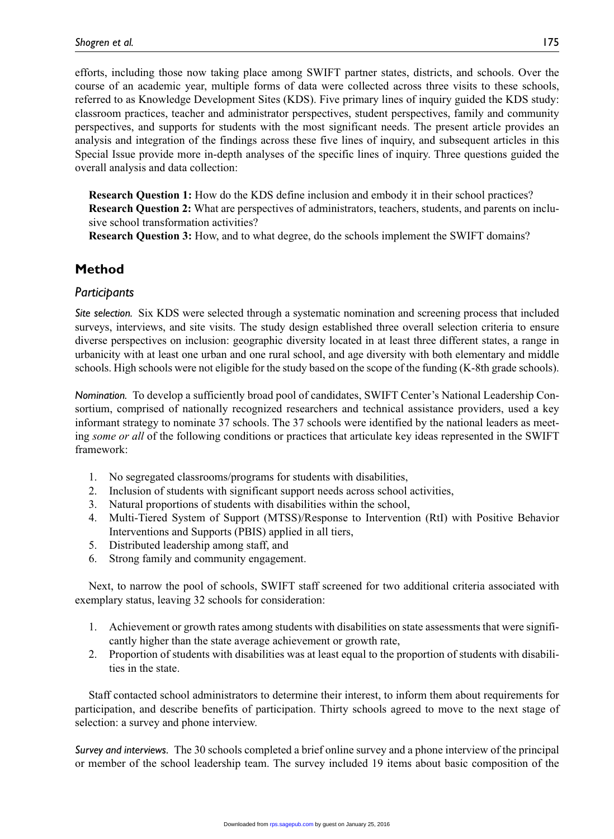efforts, including those now taking place among SWIFT partner states, districts, and schools. Over the course of an academic year, multiple forms of data were collected across three visits to these schools, referred to as Knowledge Development Sites (KDS). Five primary lines of inquiry guided the KDS study: classroom practices, teacher and administrator perspectives, student perspectives, family and community perspectives, and supports for students with the most significant needs. The present article provides an analysis and integration of the findings across these five lines of inquiry, and subsequent articles in this Special Issue provide more in-depth analyses of the specific lines of inquiry. Three questions guided the overall analysis and data collection:

**Research Question 1:** How do the KDS define inclusion and embody it in their school practices? **Research Question 2:** What are perspectives of administrators, teachers, students, and parents on inclusive school transformation activities?

**Research Question 3:** How, and to what degree, do the schools implement the SWIFT domains?

## **Method**

### *Participants*

*Site selection.* Six KDS were selected through a systematic nomination and screening process that included surveys, interviews, and site visits. The study design established three overall selection criteria to ensure diverse perspectives on inclusion: geographic diversity located in at least three different states, a range in urbanicity with at least one urban and one rural school, and age diversity with both elementary and middle schools. High schools were not eligible for the study based on the scope of the funding (K-8th grade schools).

*Nomination.* To develop a sufficiently broad pool of candidates, SWIFT Center's National Leadership Consortium, comprised of nationally recognized researchers and technical assistance providers, used a key informant strategy to nominate 37 schools. The 37 schools were identified by the national leaders as meeting *some or all* of the following conditions or practices that articulate key ideas represented in the SWIFT framework:

- 1. No segregated classrooms/programs for students with disabilities,
- 2. Inclusion of students with significant support needs across school activities,
- 3. Natural proportions of students with disabilities within the school,
- 4. Multi-Tiered System of Support (MTSS)/Response to Intervention (RtI) with Positive Behavior Interventions and Supports (PBIS) applied in all tiers,
- 5. Distributed leadership among staff, and
- 6. Strong family and community engagement.

Next, to narrow the pool of schools, SWIFT staff screened for two additional criteria associated with exemplary status, leaving 32 schools for consideration:

- 1. Achievement or growth rates among students with disabilities on state assessments that were significantly higher than the state average achievement or growth rate,
- 2. Proportion of students with disabilities was at least equal to the proportion of students with disabilities in the state.

Staff contacted school administrators to determine their interest, to inform them about requirements for participation, and describe benefits of participation. Thirty schools agreed to move to the next stage of selection: a survey and phone interview.

*Survey and interviews.* The 30 schools completed a brief online survey and a phone interview of the principal or member of the school leadership team. The survey included 19 items about basic composition of the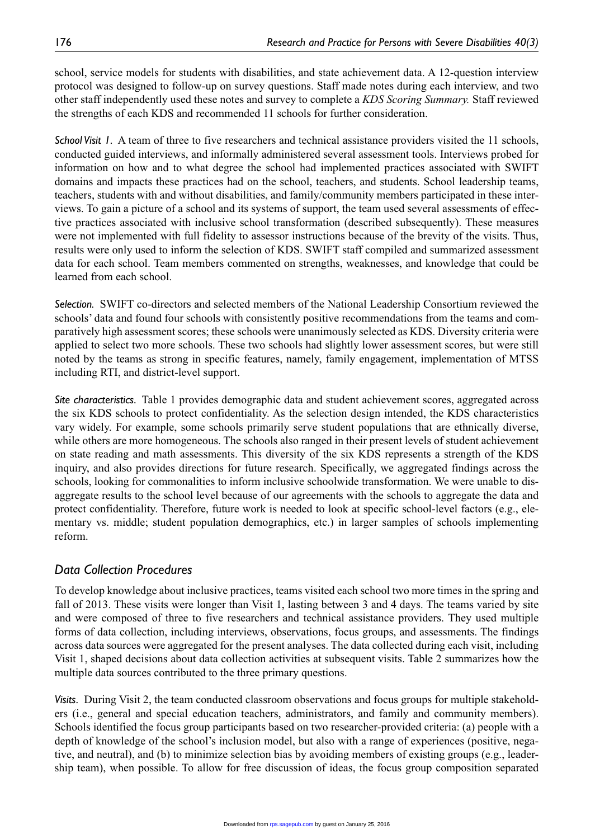school, service models for students with disabilities, and state achievement data. A 12-question interview protocol was designed to follow-up on survey questions. Staff made notes during each interview, and two other staff independently used these notes and survey to complete a *KDS Scoring Summary.* Staff reviewed the strengths of each KDS and recommended 11 schools for further consideration.

*School Visit 1.* A team of three to five researchers and technical assistance providers visited the 11 schools, conducted guided interviews, and informally administered several assessment tools. Interviews probed for information on how and to what degree the school had implemented practices associated with SWIFT domains and impacts these practices had on the school, teachers, and students. School leadership teams, teachers, students with and without disabilities, and family/community members participated in these interviews. To gain a picture of a school and its systems of support, the team used several assessments of effective practices associated with inclusive school transformation (described subsequently). These measures were not implemented with full fidelity to assessor instructions because of the brevity of the visits. Thus, results were only used to inform the selection of KDS. SWIFT staff compiled and summarized assessment data for each school. Team members commented on strengths, weaknesses, and knowledge that could be learned from each school.

*Selection.* SWIFT co-directors and selected members of the National Leadership Consortium reviewed the schools' data and found four schools with consistently positive recommendations from the teams and comparatively high assessment scores; these schools were unanimously selected as KDS. Diversity criteria were applied to select two more schools. These two schools had slightly lower assessment scores, but were still noted by the teams as strong in specific features, namely, family engagement, implementation of MTSS including RTI, and district-level support.

*Site characteristics.* Table 1 provides demographic data and student achievement scores, aggregated across the six KDS schools to protect confidentiality. As the selection design intended, the KDS characteristics vary widely. For example, some schools primarily serve student populations that are ethnically diverse, while others are more homogeneous. The schools also ranged in their present levels of student achievement on state reading and math assessments. This diversity of the six KDS represents a strength of the KDS inquiry, and also provides directions for future research. Specifically, we aggregated findings across the schools, looking for commonalities to inform inclusive schoolwide transformation. We were unable to disaggregate results to the school level because of our agreements with the schools to aggregate the data and protect confidentiality. Therefore, future work is needed to look at specific school-level factors (e.g., elementary vs. middle; student population demographics, etc.) in larger samples of schools implementing reform.

### *Data Collection Procedures*

To develop knowledge about inclusive practices, teams visited each school two more times in the spring and fall of 2013. These visits were longer than Visit 1, lasting between 3 and 4 days. The teams varied by site and were composed of three to five researchers and technical assistance providers. They used multiple forms of data collection, including interviews, observations, focus groups, and assessments. The findings across data sources were aggregated for the present analyses. The data collected during each visit, including Visit 1, shaped decisions about data collection activities at subsequent visits. Table 2 summarizes how the multiple data sources contributed to the three primary questions.

*Visits.* During Visit 2, the team conducted classroom observations and focus groups for multiple stakeholders (i.e., general and special education teachers, administrators, and family and community members). Schools identified the focus group participants based on two researcher-provided criteria: (a) people with a depth of knowledge of the school's inclusion model, but also with a range of experiences (positive, negative, and neutral), and (b) to minimize selection bias by avoiding members of existing groups (e.g., leadership team), when possible. To allow for free discussion of ideas, the focus group composition separated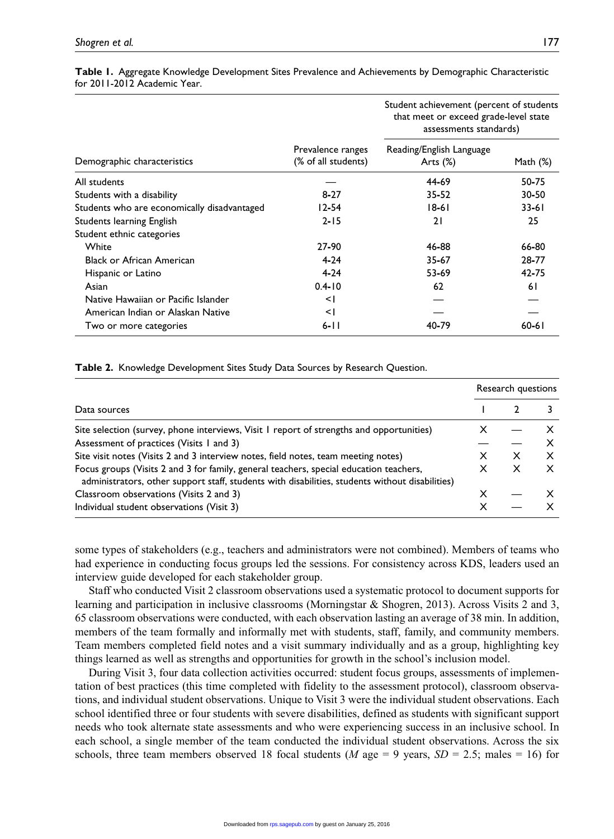|                                             |                                          | that meet or exceed grade-level state<br>assessments standards) |             |  |
|---------------------------------------------|------------------------------------------|-----------------------------------------------------------------|-------------|--|
| Demographic characteristics                 | Prevalence ranges<br>(% of all students) | Reading/English Language<br>Arts $(\%)$                         | Math $(\%)$ |  |
| All students                                |                                          | 44-69                                                           | 50-75       |  |
| Students with a disability                  | $8 - 27$                                 | $35 - 52$                                                       | 30-50       |  |
| Students who are economically disadvantaged | $12 - 54$                                | $18 - 61$                                                       | $33 - 61$   |  |
| Students learning English                   | $2 - 15$                                 | 21                                                              | 25          |  |
| Student ethnic categories                   |                                          |                                                                 |             |  |
| White                                       | 27-90                                    | 46-88                                                           | 66-80       |  |
| <b>Black or African American</b>            | $4 - 24$                                 | $35 - 67$                                                       | 28-77       |  |
| Hispanic or Latino                          | $4 - 24$                                 | 53-69                                                           | 42-75       |  |
| Asian                                       | $0.4 - 10$                               | 62                                                              | 61          |  |
| Native Hawaiian or Pacific Islander         | $\leq$                                   |                                                                 |             |  |
| American Indian or Alaskan Native           | $\leq$                                   |                                                                 |             |  |
| Two or more categories                      | $6 - 11$                                 | 40-79                                                           | $60 - 61$   |  |

**Table 1.** Aggregate Knowledge Development Sites Prevalence and Achievements by Demographic Characteristic for 2011-2012 Academic Year.

#### **Table 2.** Knowledge Development Sites Study Data Sources by Research Question.

|                                                                                                                                                                                           |    | Research questions |  |  |
|-------------------------------------------------------------------------------------------------------------------------------------------------------------------------------------------|----|--------------------|--|--|
| Data sources                                                                                                                                                                              |    |                    |  |  |
| Site selection (survey, phone interviews, Visit 1 report of strengths and opportunities)                                                                                                  |    |                    |  |  |
| Assessment of practices (Visits 1 and 3)                                                                                                                                                  |    |                    |  |  |
| Site visit notes (Visits 2 and 3 interview notes, field notes, team meeting notes)                                                                                                        | X. | X                  |  |  |
| Focus groups (Visits 2 and 3 for family, general teachers, special education teachers,<br>administrators, other support staff, students with disabilities, students without disabilities) | X. | X                  |  |  |
| Classroom observations (Visits 2 and 3)                                                                                                                                                   |    |                    |  |  |
| Individual student observations (Visit 3)                                                                                                                                                 |    |                    |  |  |

some types of stakeholders (e.g., teachers and administrators were not combined). Members of teams who had experience in conducting focus groups led the sessions. For consistency across KDS, leaders used an interview guide developed for each stakeholder group.

Staff who conducted Visit 2 classroom observations used a systematic protocol to document supports for learning and participation in inclusive classrooms (Morningstar & Shogren, 2013). Across Visits 2 and 3, 65 classroom observations were conducted, with each observation lasting an average of 38 min. In addition, members of the team formally and informally met with students, staff, family, and community members. Team members completed field notes and a visit summary individually and as a group, highlighting key things learned as well as strengths and opportunities for growth in the school's inclusion model.

During Visit 3, four data collection activities occurred: student focus groups, assessments of implementation of best practices (this time completed with fidelity to the assessment protocol), classroom observations, and individual student observations. Unique to Visit 3 were the individual student observations. Each school identified three or four students with severe disabilities, defined as students with significant support needs who took alternate state assessments and who were experiencing success in an inclusive school. In each school, a single member of the team conducted the individual student observations. Across the six schools, three team members observed 18 focal students (*M* age = 9 years,  $SD = 2.5$ ; males = 16) for

Student achievement (percent of students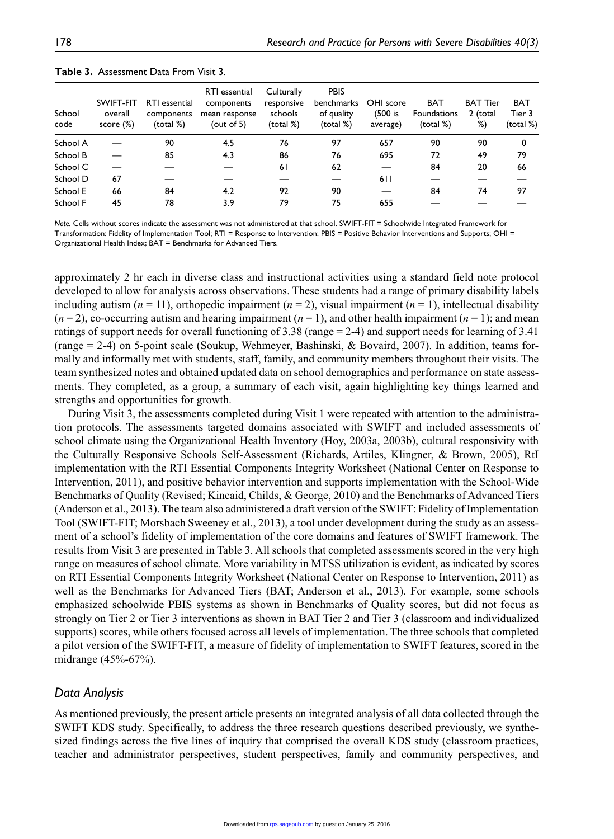| ۰<br>٠<br>V.<br>$\sim$ |  |
|------------------------|--|
|------------------------|--|

| School<br>code | SWIFT-FIT<br>overall<br>score $(\%)$ | RTI essential<br>components<br>(total %) | RTI essential<br>components<br>mean response<br>(out of $5$ ) | Culturally<br>responsive<br>schools<br>(total %) | <b>PBIS</b><br>benchmarks<br>of quality<br>(total %) | OHI score<br>(500 is<br>average) | <b>BAT</b><br><b>Foundations</b><br>(total %) | <b>BAT Tier</b><br>2 (total<br>%) | <b>BAT</b><br>Tier 3<br>(total %) |
|----------------|--------------------------------------|------------------------------------------|---------------------------------------------------------------|--------------------------------------------------|------------------------------------------------------|----------------------------------|-----------------------------------------------|-----------------------------------|-----------------------------------|
| School A       |                                      | 90                                       | 4.5                                                           | 76                                               | 97                                                   | 657                              | 90                                            | 90                                | 0                                 |
| School B       |                                      | 85                                       | 4.3                                                           | 86                                               | 76                                                   | 695                              | 72                                            | 49                                | 79                                |
| School C       |                                      |                                          |                                                               | 61                                               | 62                                                   |                                  | 84                                            | 20                                | 66                                |
| School D       | 67                                   |                                          |                                                               |                                                  |                                                      | 611                              |                                               |                                   |                                   |
| School E       | 66                                   | 84                                       | 4.2                                                           | 92                                               | 90                                                   |                                  | 84                                            | 74                                | 97                                |
| School F       | 45                                   | 78                                       | 3.9                                                           | 79                                               | 75                                                   | 655                              |                                               |                                   |                                   |
|                |                                      |                                          |                                                               |                                                  |                                                      |                                  |                                               |                                   |                                   |

**Table 3.** Assessment Data From Visit 3.

*Note.* Cells without scores indicate the assessment was not administered at that school. SWIFT-FIT = Schoolwide Integrated Framework for Transformation: Fidelity of Implementation Tool; RTI = Response to Intervention; PBIS = Positive Behavior Interventions and Supports; OHI = Organizational Health Index; BAT = Benchmarks for Advanced Tiers.

approximately 2 hr each in diverse class and instructional activities using a standard field note protocol developed to allow for analysis across observations. These students had a range of primary disability labels including autism  $(n = 11)$ , orthopedic impairment  $(n = 2)$ , visual impairment  $(n = 1)$ , intellectual disability  $(n=2)$ , co-occurring autism and hearing impairment  $(n=1)$ , and other health impairment  $(n=1)$ ; and mean ratings of support needs for overall functioning of 3.38 (range = 2-4) and support needs for learning of 3.41 (range  $= 2-4$ ) on 5-point scale (Soukup, Wehmeyer, Bashinski, & Bovaird, 2007). In addition, teams formally and informally met with students, staff, family, and community members throughout their visits. The team synthesized notes and obtained updated data on school demographics and performance on state assessments. They completed, as a group, a summary of each visit, again highlighting key things learned and strengths and opportunities for growth.

During Visit 3, the assessments completed during Visit 1 were repeated with attention to the administration protocols. The assessments targeted domains associated with SWIFT and included assessments of school climate using the Organizational Health Inventory (Hoy, 2003a, 2003b), cultural responsivity with the Culturally Responsive Schools Self-Assessment (Richards, Artiles, Klingner, & Brown, 2005), RtI implementation with the RTI Essential Components Integrity Worksheet (National Center on Response to Intervention, 2011), and positive behavior intervention and supports implementation with the School-Wide Benchmarks of Quality (Revised; Kincaid, Childs, & George, 2010) and the Benchmarks of Advanced Tiers (Anderson et al., 2013). The team also administered a draft version of the SWIFT: Fidelity of Implementation Tool (SWIFT-FIT; Morsbach Sweeney et al., 2013), a tool under development during the study as an assessment of a school's fidelity of implementation of the core domains and features of SWIFT framework. The results from Visit 3 are presented in Table 3. All schools that completed assessments scored in the very high range on measures of school climate. More variability in MTSS utilization is evident, as indicated by scores on RTI Essential Components Integrity Worksheet (National Center on Response to Intervention, 2011) as well as the Benchmarks for Advanced Tiers (BAT; Anderson et al., 2013). For example, some schools emphasized schoolwide PBIS systems as shown in Benchmarks of Quality scores, but did not focus as strongly on Tier 2 or Tier 3 interventions as shown in BAT Tier 2 and Tier 3 (classroom and individualized supports) scores, while others focused across all levels of implementation. The three schools that completed a pilot version of the SWIFT-FIT, a measure of fidelity of implementation to SWIFT features, scored in the midrange (45%-67%).

#### *Data Analysis*

As mentioned previously, the present article presents an integrated analysis of all data collected through the SWIFT KDS study. Specifically, to address the three research questions described previously, we synthesized findings across the five lines of inquiry that comprised the overall KDS study (classroom practices, teacher and administrator perspectives, student perspectives, family and community perspectives, and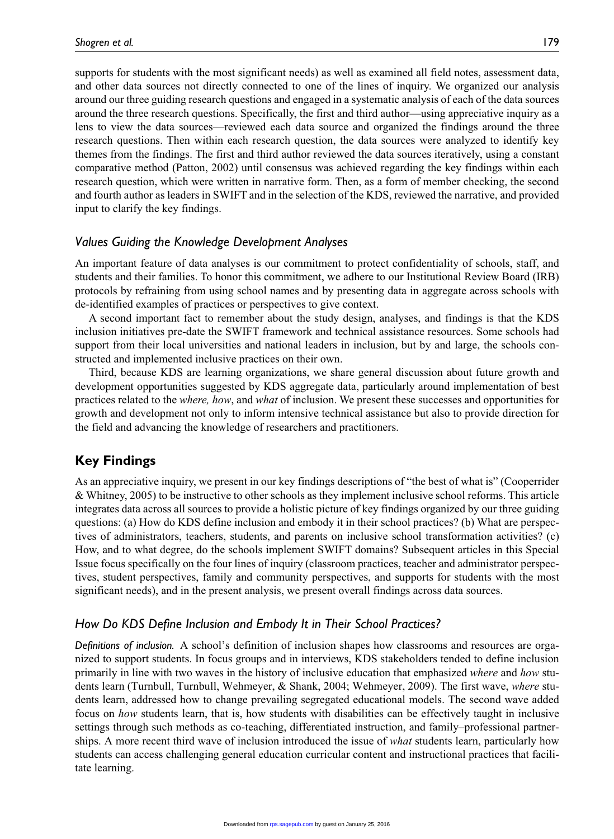supports for students with the most significant needs) as well as examined all field notes, assessment data, and other data sources not directly connected to one of the lines of inquiry. We organized our analysis around our three guiding research questions and engaged in a systematic analysis of each of the data sources around the three research questions. Specifically, the first and third author—using appreciative inquiry as a lens to view the data sources—reviewed each data source and organized the findings around the three research questions. Then within each research question, the data sources were analyzed to identify key themes from the findings. The first and third author reviewed the data sources iteratively, using a constant comparative method (Patton, 2002) until consensus was achieved regarding the key findings within each research question, which were written in narrative form. Then, as a form of member checking, the second and fourth author as leaders in SWIFT and in the selection of the KDS, reviewed the narrative, and provided input to clarify the key findings.

#### *Values Guiding the Knowledge Development Analyses*

An important feature of data analyses is our commitment to protect confidentiality of schools, staff, and students and their families. To honor this commitment, we adhere to our Institutional Review Board (IRB) protocols by refraining from using school names and by presenting data in aggregate across schools with de-identified examples of practices or perspectives to give context.

A second important fact to remember about the study design, analyses, and findings is that the KDS inclusion initiatives pre-date the SWIFT framework and technical assistance resources. Some schools had support from their local universities and national leaders in inclusion, but by and large, the schools constructed and implemented inclusive practices on their own.

Third, because KDS are learning organizations, we share general discussion about future growth and development opportunities suggested by KDS aggregate data, particularly around implementation of best practices related to the *where, how*, and *what* of inclusion. We present these successes and opportunities for growth and development not only to inform intensive technical assistance but also to provide direction for the field and advancing the knowledge of researchers and practitioners.

### **Key Findings**

As an appreciative inquiry, we present in our key findings descriptions of "the best of what is" (Cooperrider & Whitney, 2005) to be instructive to other schools as they implement inclusive school reforms. This article integrates data across all sources to provide a holistic picture of key findings organized by our three guiding questions: (a) How do KDS define inclusion and embody it in their school practices? (b) What are perspectives of administrators, teachers, students, and parents on inclusive school transformation activities? (c) How, and to what degree, do the schools implement SWIFT domains? Subsequent articles in this Special Issue focus specifically on the four lines of inquiry (classroom practices, teacher and administrator perspectives, student perspectives, family and community perspectives, and supports for students with the most significant needs), and in the present analysis, we present overall findings across data sources.

### *How Do KDS Define Inclusion and Embody It in Their School Practices?*

*Definitions of inclusion.* A school's definition of inclusion shapes how classrooms and resources are organized to support students. In focus groups and in interviews, KDS stakeholders tended to define inclusion primarily in line with two waves in the history of inclusive education that emphasized *where* and *how* students learn (Turnbull, Turnbull, Wehmeyer, & Shank, 2004; Wehmeyer, 2009). The first wave, *where* students learn, addressed how to change prevailing segregated educational models. The second wave added focus on *how* students learn, that is, how students with disabilities can be effectively taught in inclusive settings through such methods as co-teaching, differentiated instruction, and family–professional partnerships. A more recent third wave of inclusion introduced the issue of *what* students learn, particularly how students can access challenging general education curricular content and instructional practices that facilitate learning.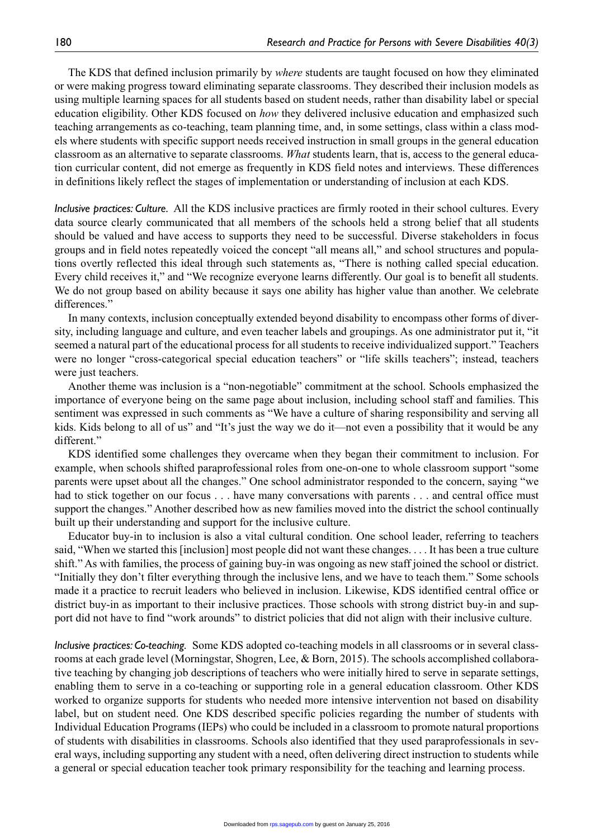The KDS that defined inclusion primarily by *where* students are taught focused on how they eliminated or were making progress toward eliminating separate classrooms. They described their inclusion models as using multiple learning spaces for all students based on student needs, rather than disability label or special education eligibility. Other KDS focused on *how* they delivered inclusive education and emphasized such teaching arrangements as co-teaching, team planning time, and, in some settings, class within a class models where students with specific support needs received instruction in small groups in the general education classroom as an alternative to separate classrooms. *What* students learn, that is, access to the general education curricular content, did not emerge as frequently in KDS field notes and interviews. These differences in definitions likely reflect the stages of implementation or understanding of inclusion at each KDS.

*Inclusive practices: Culture.* All the KDS inclusive practices are firmly rooted in their school cultures. Every data source clearly communicated that all members of the schools held a strong belief that all students should be valued and have access to supports they need to be successful. Diverse stakeholders in focus groups and in field notes repeatedly voiced the concept "all means all," and school structures and populations overtly reflected this ideal through such statements as, "There is nothing called special education. Every child receives it," and "We recognize everyone learns differently. Our goal is to benefit all students. We do not group based on ability because it says one ability has higher value than another. We celebrate differences."

In many contexts, inclusion conceptually extended beyond disability to encompass other forms of diversity, including language and culture, and even teacher labels and groupings. As one administrator put it, "it seemed a natural part of the educational process for all students to receive individualized support." Teachers were no longer "cross-categorical special education teachers" or "life skills teachers"; instead, teachers were just teachers.

Another theme was inclusion is a "non-negotiable" commitment at the school. Schools emphasized the importance of everyone being on the same page about inclusion, including school staff and families. This sentiment was expressed in such comments as "We have a culture of sharing responsibility and serving all kids. Kids belong to all of us" and "It's just the way we do it—not even a possibility that it would be any different."

KDS identified some challenges they overcame when they began their commitment to inclusion. For example, when schools shifted paraprofessional roles from one-on-one to whole classroom support "some parents were upset about all the changes." One school administrator responded to the concern, saying "we had to stick together on our focus . . . have many conversations with parents . . . and central office must support the changes." Another described how as new families moved into the district the school continually built up their understanding and support for the inclusive culture.

Educator buy-in to inclusion is also a vital cultural condition. One school leader, referring to teachers said, "When we started this [inclusion] most people did not want these changes. . . . It has been a true culture shift." As with families, the process of gaining buy-in was ongoing as new staff joined the school or district. "Initially they don't filter everything through the inclusive lens, and we have to teach them." Some schools made it a practice to recruit leaders who believed in inclusion. Likewise, KDS identified central office or district buy-in as important to their inclusive practices. Those schools with strong district buy-in and support did not have to find "work arounds" to district policies that did not align with their inclusive culture.

*Inclusive practices: Co-teaching.* Some KDS adopted co-teaching models in all classrooms or in several classrooms at each grade level (Morningstar, Shogren, Lee, & Born, 2015). The schools accomplished collaborative teaching by changing job descriptions of teachers who were initially hired to serve in separate settings, enabling them to serve in a co-teaching or supporting role in a general education classroom. Other KDS worked to organize supports for students who needed more intensive intervention not based on disability label, but on student need. One KDS described specific policies regarding the number of students with Individual Education Programs (IEPs) who could be included in a classroom to promote natural proportions of students with disabilities in classrooms. Schools also identified that they used paraprofessionals in several ways, including supporting any student with a need, often delivering direct instruction to students while a general or special education teacher took primary responsibility for the teaching and learning process.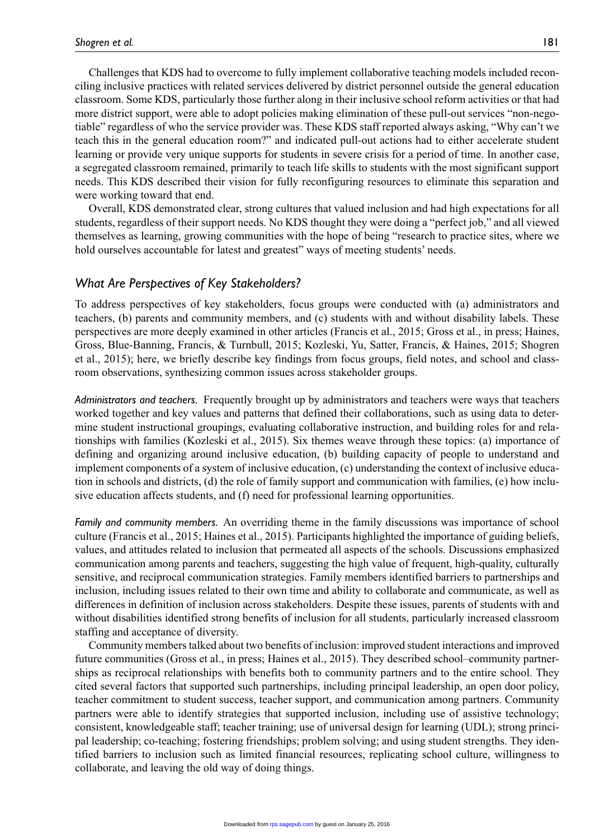Challenges that KDS had to overcome to fully implement collaborative teaching models included reconciling inclusive practices with related services delivered by district personnel outside the general education classroom. Some KDS, particularly those further along in their inclusive school reform activities or that had more district support, were able to adopt policies making elimination of these pull-out services "non-negotiable" regardless of who the service provider was. These KDS staff reported always asking, "Why can't we teach this in the general education room?" and indicated pull-out actions had to either accelerate student learning or provide very unique supports for students in severe crisis for a period of time. In another case, a segregated classroom remained, primarily to teach life skills to students with the most significant support needs. This KDS described their vision for fully reconfiguring resources to eliminate this separation and were working toward that end.

Overall, KDS demonstrated clear, strong cultures that valued inclusion and had high expectations for all students, regardless of their support needs. No KDS thought they were doing a "perfect job," and all viewed themselves as learning, growing communities with the hope of being "research to practice sites, where we hold ourselves accountable for latest and greatest" ways of meeting students' needs.

#### *What Are Perspectives of Key Stakeholders?*

To address perspectives of key stakeholders, focus groups were conducted with (a) administrators and teachers, (b) parents and community members, and (c) students with and without disability labels. These perspectives are more deeply examined in other articles (Francis et al., 2015; Gross et al., in press; Haines, Gross, Blue-Banning, Francis, & Turnbull, 2015; Kozleski, Yu, Satter, Francis, & Haines, 2015; Shogren et al., 2015); here, we briefly describe key findings from focus groups, field notes, and school and classroom observations, synthesizing common issues across stakeholder groups.

*Administrators and teachers.* Frequently brought up by administrators and teachers were ways that teachers worked together and key values and patterns that defined their collaborations, such as using data to determine student instructional groupings, evaluating collaborative instruction, and building roles for and relationships with families (Kozleski et al., 2015). Six themes weave through these topics: (a) importance of defining and organizing around inclusive education, (b) building capacity of people to understand and implement components of a system of inclusive education, (c) understanding the context of inclusive education in schools and districts, (d) the role of family support and communication with families, (e) how inclusive education affects students, and (f) need for professional learning opportunities.

*Family and community members.* An overriding theme in the family discussions was importance of school culture (Francis et al., 2015; Haines et al., 2015). Participants highlighted the importance of guiding beliefs, values, and attitudes related to inclusion that permeated all aspects of the schools. Discussions emphasized communication among parents and teachers, suggesting the high value of frequent, high-quality, culturally sensitive, and reciprocal communication strategies. Family members identified barriers to partnerships and inclusion, including issues related to their own time and ability to collaborate and communicate, as well as differences in definition of inclusion across stakeholders. Despite these issues, parents of students with and without disabilities identified strong benefits of inclusion for all students, particularly increased classroom staffing and acceptance of diversity.

Community members talked about two benefits of inclusion: improved student interactions and improved future communities (Gross et al., in press; Haines et al., 2015). They described school–community partnerships as reciprocal relationships with benefits both to community partners and to the entire school. They cited several factors that supported such partnerships, including principal leadership, an open door policy, teacher commitment to student success, teacher support, and communication among partners. Community partners were able to identify strategies that supported inclusion, including use of assistive technology; consistent, knowledgeable staff; teacher training; use of universal design for learning (UDL); strong principal leadership; co-teaching; fostering friendships; problem solving; and using student strengths. They identified barriers to inclusion such as limited financial resources, replicating school culture, willingness to collaborate, and leaving the old way of doing things.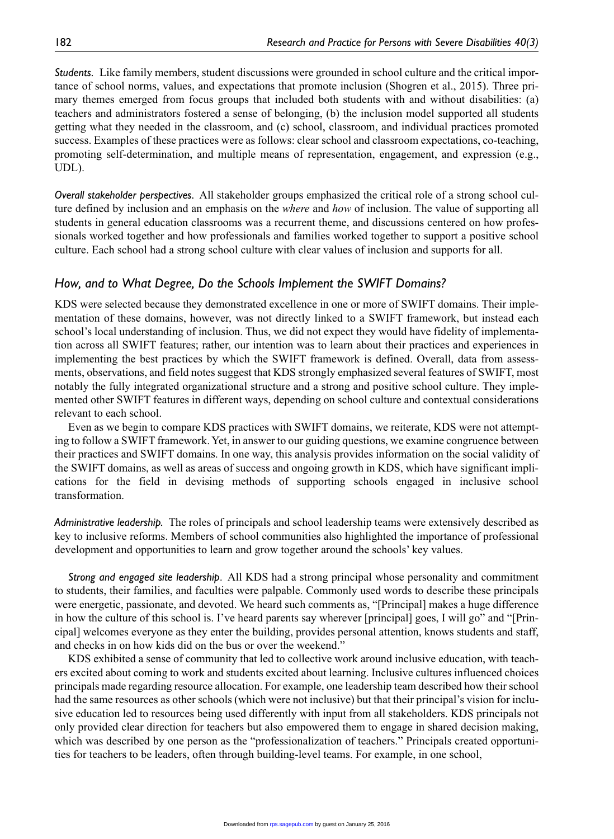*Students.* Like family members, student discussions were grounded in school culture and the critical importance of school norms, values, and expectations that promote inclusion (Shogren et al., 2015). Three primary themes emerged from focus groups that included both students with and without disabilities: (a) teachers and administrators fostered a sense of belonging, (b) the inclusion model supported all students getting what they needed in the classroom, and (c) school, classroom, and individual practices promoted success. Examples of these practices were as follows: clear school and classroom expectations, co-teaching, promoting self-determination, and multiple means of representation, engagement, and expression (e.g., UDL).

*Overall stakeholder perspectives.* All stakeholder groups emphasized the critical role of a strong school culture defined by inclusion and an emphasis on the *where* and *how* of inclusion. The value of supporting all students in general education classrooms was a recurrent theme, and discussions centered on how professionals worked together and how professionals and families worked together to support a positive school culture. Each school had a strong school culture with clear values of inclusion and supports for all.

### *How, and to What Degree, Do the Schools Implement the SWIFT Domains?*

KDS were selected because they demonstrated excellence in one or more of SWIFT domains. Their implementation of these domains, however, was not directly linked to a SWIFT framework, but instead each school's local understanding of inclusion. Thus, we did not expect they would have fidelity of implementation across all SWIFT features; rather, our intention was to learn about their practices and experiences in implementing the best practices by which the SWIFT framework is defined. Overall, data from assessments, observations, and field notes suggest that KDS strongly emphasized several features of SWIFT, most notably the fully integrated organizational structure and a strong and positive school culture. They implemented other SWIFT features in different ways, depending on school culture and contextual considerations relevant to each school.

Even as we begin to compare KDS practices with SWIFT domains, we reiterate, KDS were not attempting to follow a SWIFT framework. Yet, in answer to our guiding questions, we examine congruence between their practices and SWIFT domains. In one way, this analysis provides information on the social validity of the SWIFT domains, as well as areas of success and ongoing growth in KDS, which have significant implications for the field in devising methods of supporting schools engaged in inclusive school transformation.

*Administrative leadership.* The roles of principals and school leadership teams were extensively described as key to inclusive reforms. Members of school communities also highlighted the importance of professional development and opportunities to learn and grow together around the schools' key values.

*Strong and engaged site leadership*. All KDS had a strong principal whose personality and commitment to students, their families, and faculties were palpable. Commonly used words to describe these principals were energetic, passionate, and devoted. We heard such comments as, "[Principal] makes a huge difference in how the culture of this school is. I've heard parents say wherever [principal] goes, I will go" and "[Principal] welcomes everyone as they enter the building, provides personal attention, knows students and staff, and checks in on how kids did on the bus or over the weekend."

KDS exhibited a sense of community that led to collective work around inclusive education, with teachers excited about coming to work and students excited about learning. Inclusive cultures influenced choices principals made regarding resource allocation. For example, one leadership team described how their school had the same resources as other schools (which were not inclusive) but that their principal's vision for inclusive education led to resources being used differently with input from all stakeholders. KDS principals not only provided clear direction for teachers but also empowered them to engage in shared decision making, which was described by one person as the "professionalization of teachers." Principals created opportunities for teachers to be leaders, often through building-level teams. For example, in one school,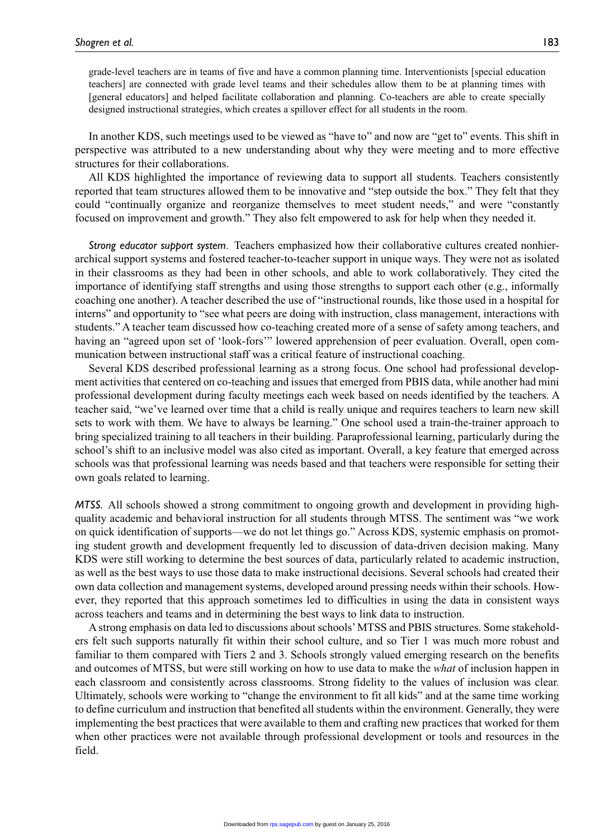grade-level teachers are in teams of five and have a common planning time. Interventionists [special education teachers] are connected with grade level teams and their schedules allow them to be at planning times with [general educators] and helped facilitate collaboration and planning. Co-teachers are able to create specially designed instructional strategies, which creates a spillover effect for all students in the room.

In another KDS, such meetings used to be viewed as "have to" and now are "get to" events. This shift in perspective was attributed to a new understanding about why they were meeting and to more effective structures for their collaborations.

All KDS highlighted the importance of reviewing data to support all students. Teachers consistently reported that team structures allowed them to be innovative and "step outside the box." They felt that they could "continually organize and reorganize themselves to meet student needs," and were "constantly focused on improvement and growth." They also felt empowered to ask for help when they needed it.

*Strong educator support system*. Teachers emphasized how their collaborative cultures created nonhierarchical support systems and fostered teacher-to-teacher support in unique ways. They were not as isolated in their classrooms as they had been in other schools, and able to work collaboratively. They cited the importance of identifying staff strengths and using those strengths to support each other (e.g., informally coaching one another). A teacher described the use of "instructional rounds, like those used in a hospital for interns" and opportunity to "see what peers are doing with instruction, class management, interactions with students." A teacher team discussed how co-teaching created more of a sense of safety among teachers, and having an "agreed upon set of 'look-fors'" lowered apprehension of peer evaluation. Overall, open communication between instructional staff was a critical feature of instructional coaching.

Several KDS described professional learning as a strong focus. One school had professional development activities that centered on co-teaching and issues that emerged from PBIS data, while another had mini professional development during faculty meetings each week based on needs identified by the teachers. A teacher said, "we've learned over time that a child is really unique and requires teachers to learn new skill sets to work with them. We have to always be learning." One school used a train-the-trainer approach to bring specialized training to all teachers in their building. Paraprofessional learning, particularly during the school's shift to an inclusive model was also cited as important. Overall, a key feature that emerged across schools was that professional learning was needs based and that teachers were responsible for setting their own goals related to learning.

*MTSS.* All schools showed a strong commitment to ongoing growth and development in providing highquality academic and behavioral instruction for all students through MTSS. The sentiment was "we work on quick identification of supports—we do not let things go." Across KDS, systemic emphasis on promoting student growth and development frequently led to discussion of data-driven decision making. Many KDS were still working to determine the best sources of data, particularly related to academic instruction, as well as the best ways to use those data to make instructional decisions. Several schools had created their own data collection and management systems, developed around pressing needs within their schools. However, they reported that this approach sometimes led to difficulties in using the data in consistent ways across teachers and teams and in determining the best ways to link data to instruction.

A strong emphasis on data led to discussions about schools' MTSS and PBIS structures. Some stakeholders felt such supports naturally fit within their school culture, and so Tier 1 was much more robust and familiar to them compared with Tiers 2 and 3. Schools strongly valued emerging research on the benefits and outcomes of MTSS, but were still working on how to use data to make the *what* of inclusion happen in each classroom and consistently across classrooms. Strong fidelity to the values of inclusion was clear. Ultimately, schools were working to "change the environment to fit all kids" and at the same time working to define curriculum and instruction that benefited all students within the environment. Generally, they were implementing the best practices that were available to them and crafting new practices that worked for them when other practices were not available through professional development or tools and resources in the field.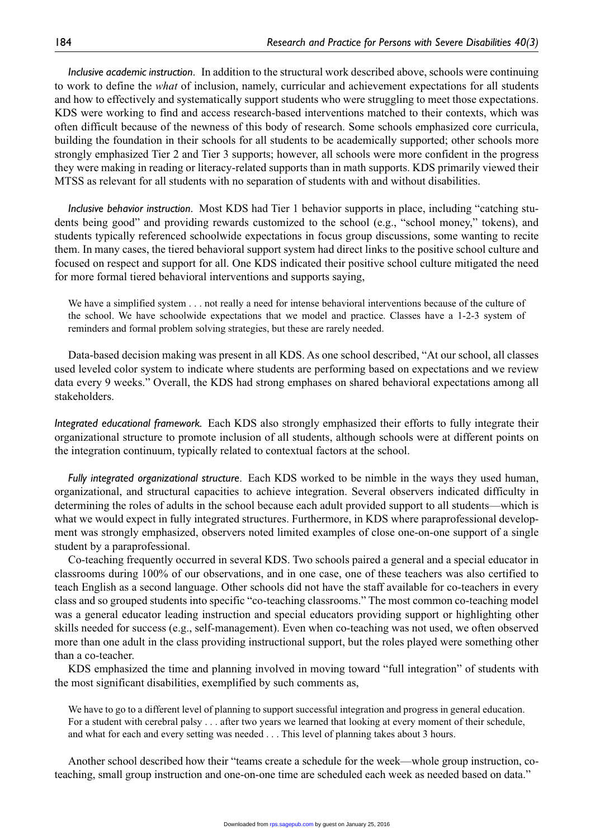*Inclusive academic instruction*. In addition to the structural work described above, schools were continuing to work to define the *what* of inclusion, namely, curricular and achievement expectations for all students and how to effectively and systematically support students who were struggling to meet those expectations. KDS were working to find and access research-based interventions matched to their contexts, which was often difficult because of the newness of this body of research. Some schools emphasized core curricula, building the foundation in their schools for all students to be academically supported; other schools more strongly emphasized Tier 2 and Tier 3 supports; however, all schools were more confident in the progress they were making in reading or literacy-related supports than in math supports. KDS primarily viewed their MTSS as relevant for all students with no separation of students with and without disabilities.

*Inclusive behavior instruction*. Most KDS had Tier 1 behavior supports in place, including "catching students being good" and providing rewards customized to the school (e.g., "school money," tokens), and students typically referenced schoolwide expectations in focus group discussions, some wanting to recite them. In many cases, the tiered behavioral support system had direct links to the positive school culture and focused on respect and support for all. One KDS indicated their positive school culture mitigated the need for more formal tiered behavioral interventions and supports saying,

We have a simplified system . . . not really a need for intense behavioral interventions because of the culture of the school. We have schoolwide expectations that we model and practice. Classes have a 1-2-3 system of reminders and formal problem solving strategies, but these are rarely needed.

Data-based decision making was present in all KDS. As one school described, "At our school, all classes used leveled color system to indicate where students are performing based on expectations and we review data every 9 weeks." Overall, the KDS had strong emphases on shared behavioral expectations among all stakeholders.

*Integrated educational framework.* Each KDS also strongly emphasized their efforts to fully integrate their organizational structure to promote inclusion of all students, although schools were at different points on the integration continuum, typically related to contextual factors at the school.

*Fully integrated organizational structure*. Each KDS worked to be nimble in the ways they used human, organizational, and structural capacities to achieve integration. Several observers indicated difficulty in determining the roles of adults in the school because each adult provided support to all students—which is what we would expect in fully integrated structures. Furthermore, in KDS where paraprofessional development was strongly emphasized, observers noted limited examples of close one-on-one support of a single student by a paraprofessional.

Co-teaching frequently occurred in several KDS. Two schools paired a general and a special educator in classrooms during 100% of our observations, and in one case, one of these teachers was also certified to teach English as a second language. Other schools did not have the staff available for co-teachers in every class and so grouped students into specific "co-teaching classrooms." The most common co-teaching model was a general educator leading instruction and special educators providing support or highlighting other skills needed for success (e.g., self-management). Even when co-teaching was not used, we often observed more than one adult in the class providing instructional support, but the roles played were something other than a co-teacher.

KDS emphasized the time and planning involved in moving toward "full integration" of students with the most significant disabilities, exemplified by such comments as,

We have to go to a different level of planning to support successful integration and progress in general education. For a student with cerebral palsy . . . after two years we learned that looking at every moment of their schedule, and what for each and every setting was needed . . . This level of planning takes about 3 hours.

Another school described how their "teams create a schedule for the week—whole group instruction, coteaching, small group instruction and one-on-one time are scheduled each week as needed based on data."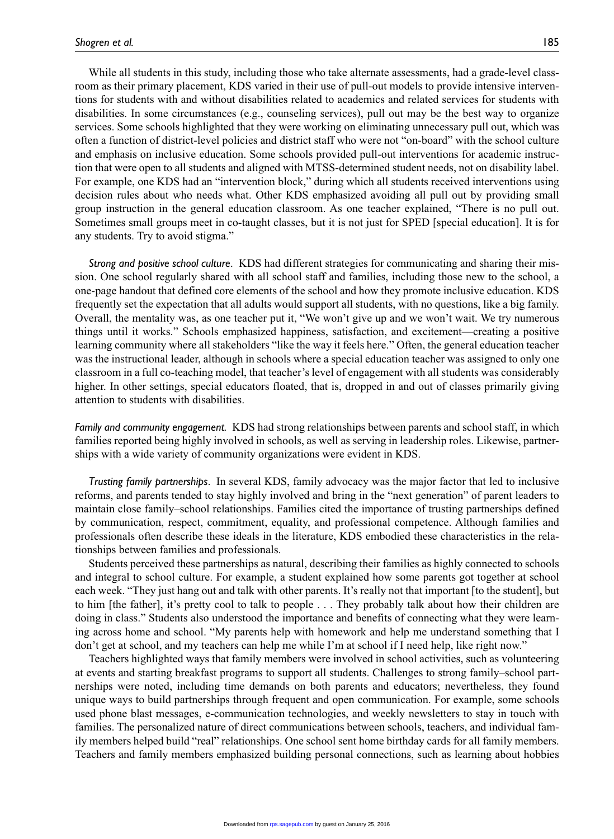While all students in this study, including those who take alternate assessments, had a grade-level classroom as their primary placement, KDS varied in their use of pull-out models to provide intensive interventions for students with and without disabilities related to academics and related services for students with disabilities. In some circumstances (e.g., counseling services), pull out may be the best way to organize services. Some schools highlighted that they were working on eliminating unnecessary pull out, which was often a function of district-level policies and district staff who were not "on-board" with the school culture and emphasis on inclusive education. Some schools provided pull-out interventions for academic instruction that were open to all students and aligned with MTSS-determined student needs, not on disability label. For example, one KDS had an "intervention block," during which all students received interventions using decision rules about who needs what. Other KDS emphasized avoiding all pull out by providing small group instruction in the general education classroom. As one teacher explained, "There is no pull out. Sometimes small groups meet in co-taught classes, but it is not just for SPED [special education]. It is for any students. Try to avoid stigma."

*Strong and positive school culture*. KDS had different strategies for communicating and sharing their mission. One school regularly shared with all school staff and families, including those new to the school, a one-page handout that defined core elements of the school and how they promote inclusive education. KDS frequently set the expectation that all adults would support all students, with no questions, like a big family. Overall, the mentality was, as one teacher put it, "We won't give up and we won't wait. We try numerous things until it works." Schools emphasized happiness, satisfaction, and excitement—creating a positive learning community where all stakeholders "like the way it feels here." Often, the general education teacher was the instructional leader, although in schools where a special education teacher was assigned to only one classroom in a full co-teaching model, that teacher's level of engagement with all students was considerably higher. In other settings, special educators floated, that is, dropped in and out of classes primarily giving attention to students with disabilities.

*Family and community engagement.* KDS had strong relationships between parents and school staff, in which families reported being highly involved in schools, as well as serving in leadership roles. Likewise, partnerships with a wide variety of community organizations were evident in KDS.

*Trusting family partnerships*. In several KDS, family advocacy was the major factor that led to inclusive reforms, and parents tended to stay highly involved and bring in the "next generation" of parent leaders to maintain close family–school relationships. Families cited the importance of trusting partnerships defined by communication, respect, commitment, equality, and professional competence. Although families and professionals often describe these ideals in the literature, KDS embodied these characteristics in the relationships between families and professionals.

Students perceived these partnerships as natural, describing their families as highly connected to schools and integral to school culture. For example, a student explained how some parents got together at school each week. "They just hang out and talk with other parents. It's really not that important [to the student], but to him [the father], it's pretty cool to talk to people . . . They probably talk about how their children are doing in class." Students also understood the importance and benefits of connecting what they were learning across home and school. "My parents help with homework and help me understand something that I don't get at school, and my teachers can help me while I'm at school if I need help, like right now."

Teachers highlighted ways that family members were involved in school activities, such as volunteering at events and starting breakfast programs to support all students. Challenges to strong family–school partnerships were noted, including time demands on both parents and educators; nevertheless, they found unique ways to build partnerships through frequent and open communication. For example, some schools used phone blast messages, e-communication technologies, and weekly newsletters to stay in touch with families. The personalized nature of direct communications between schools, teachers, and individual family members helped build "real" relationships. One school sent home birthday cards for all family members. Teachers and family members emphasized building personal connections, such as learning about hobbies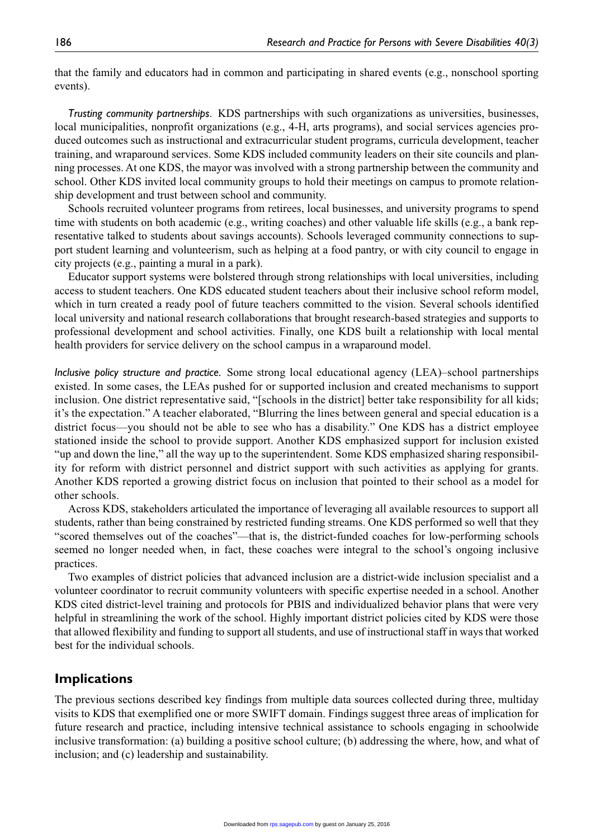that the family and educators had in common and participating in shared events (e.g., nonschool sporting events).

*Trusting community partnerships*. KDS partnerships with such organizations as universities, businesses, local municipalities, nonprofit organizations (e.g., 4-H, arts programs), and social services agencies produced outcomes such as instructional and extracurricular student programs, curricula development, teacher training, and wraparound services. Some KDS included community leaders on their site councils and planning processes. At one KDS, the mayor was involved with a strong partnership between the community and school. Other KDS invited local community groups to hold their meetings on campus to promote relationship development and trust between school and community.

Schools recruited volunteer programs from retirees, local businesses, and university programs to spend time with students on both academic (e.g., writing coaches) and other valuable life skills (e.g., a bank representative talked to students about savings accounts). Schools leveraged community connections to support student learning and volunteerism, such as helping at a food pantry, or with city council to engage in city projects (e.g., painting a mural in a park).

Educator support systems were bolstered through strong relationships with local universities, including access to student teachers. One KDS educated student teachers about their inclusive school reform model, which in turn created a ready pool of future teachers committed to the vision. Several schools identified local university and national research collaborations that brought research-based strategies and supports to professional development and school activities. Finally, one KDS built a relationship with local mental health providers for service delivery on the school campus in a wraparound model.

*Inclusive policy structure and practice.* Some strong local educational agency (LEA)–school partnerships existed. In some cases, the LEAs pushed for or supported inclusion and created mechanisms to support inclusion. One district representative said, "[schools in the district] better take responsibility for all kids; it's the expectation." A teacher elaborated, "Blurring the lines between general and special education is a district focus—you should not be able to see who has a disability." One KDS has a district employee stationed inside the school to provide support. Another KDS emphasized support for inclusion existed "up and down the line," all the way up to the superintendent. Some KDS emphasized sharing responsibility for reform with district personnel and district support with such activities as applying for grants. Another KDS reported a growing district focus on inclusion that pointed to their school as a model for other schools.

Across KDS, stakeholders articulated the importance of leveraging all available resources to support all students, rather than being constrained by restricted funding streams. One KDS performed so well that they "scored themselves out of the coaches"—that is, the district-funded coaches for low-performing schools seemed no longer needed when, in fact, these coaches were integral to the school's ongoing inclusive practices.

Two examples of district policies that advanced inclusion are a district-wide inclusion specialist and a volunteer coordinator to recruit community volunteers with specific expertise needed in a school. Another KDS cited district-level training and protocols for PBIS and individualized behavior plans that were very helpful in streamlining the work of the school. Highly important district policies cited by KDS were those that allowed flexibility and funding to support all students, and use of instructional staff in ways that worked best for the individual schools.

### **Implications**

The previous sections described key findings from multiple data sources collected during three, multiday visits to KDS that exemplified one or more SWIFT domain. Findings suggest three areas of implication for future research and practice, including intensive technical assistance to schools engaging in schoolwide inclusive transformation: (a) building a positive school culture; (b) addressing the where, how, and what of inclusion; and (c) leadership and sustainability.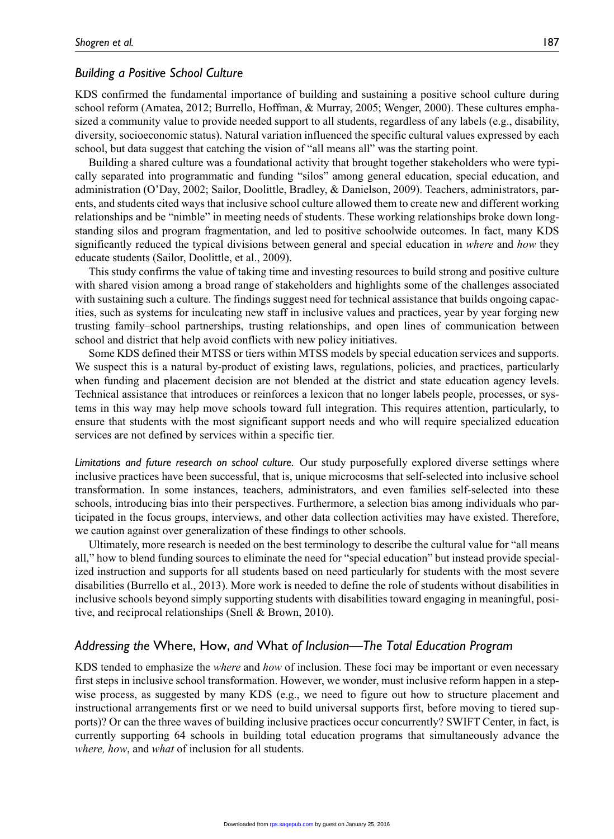#### *Building a Positive School Culture*

KDS confirmed the fundamental importance of building and sustaining a positive school culture during school reform (Amatea, 2012; Burrello, Hoffman, & Murray, 2005; Wenger, 2000). These cultures emphasized a community value to provide needed support to all students, regardless of any labels (e.g., disability, diversity, socioeconomic status). Natural variation influenced the specific cultural values expressed by each school, but data suggest that catching the vision of "all means all" was the starting point.

Building a shared culture was a foundational activity that brought together stakeholders who were typically separated into programmatic and funding "silos" among general education, special education, and administration (O'Day, 2002; Sailor, Doolittle, Bradley, & Danielson, 2009). Teachers, administrators, parents, and students cited ways that inclusive school culture allowed them to create new and different working relationships and be "nimble" in meeting needs of students. These working relationships broke down longstanding silos and program fragmentation, and led to positive schoolwide outcomes. In fact, many KDS significantly reduced the typical divisions between general and special education in *where* and *how* they educate students (Sailor, Doolittle, et al., 2009).

This study confirms the value of taking time and investing resources to build strong and positive culture with shared vision among a broad range of stakeholders and highlights some of the challenges associated with sustaining such a culture. The findings suggest need for technical assistance that builds ongoing capacities, such as systems for inculcating new staff in inclusive values and practices, year by year forging new trusting family–school partnerships, trusting relationships, and open lines of communication between school and district that help avoid conflicts with new policy initiatives.

Some KDS defined their MTSS or tiers within MTSS models by special education services and supports. We suspect this is a natural by-product of existing laws, regulations, policies, and practices, particularly when funding and placement decision are not blended at the district and state education agency levels. Technical assistance that introduces or reinforces a lexicon that no longer labels people, processes, or systems in this way may help move schools toward full integration. This requires attention, particularly, to ensure that students with the most significant support needs and who will require specialized education services are not defined by services within a specific tier.

*Limitations and future research on school culture.* Our study purposefully explored diverse settings where inclusive practices have been successful, that is, unique microcosms that self-selected into inclusive school transformation. In some instances, teachers, administrators, and even families self-selected into these schools, introducing bias into their perspectives. Furthermore, a selection bias among individuals who participated in the focus groups, interviews, and other data collection activities may have existed. Therefore, we caution against over generalization of these findings to other schools.

Ultimately, more research is needed on the best terminology to describe the cultural value for "all means all," how to blend funding sources to eliminate the need for "special education" but instead provide specialized instruction and supports for all students based on need particularly for students with the most severe disabilities (Burrello et al., 2013). More work is needed to define the role of students without disabilities in inclusive schools beyond simply supporting students with disabilities toward engaging in meaningful, positive, and reciprocal relationships (Snell & Brown, 2010).

### *Addressing the* Where, How, *and* What *of Inclusion—The Total Education Program*

KDS tended to emphasize the *where* and *how* of inclusion. These foci may be important or even necessary first steps in inclusive school transformation. However, we wonder, must inclusive reform happen in a stepwise process, as suggested by many KDS (e.g., we need to figure out how to structure placement and instructional arrangements first or we need to build universal supports first, before moving to tiered supports)? Or can the three waves of building inclusive practices occur concurrently? SWIFT Center, in fact, is currently supporting 64 schools in building total education programs that simultaneously advance the *where, how*, and *what* of inclusion for all students.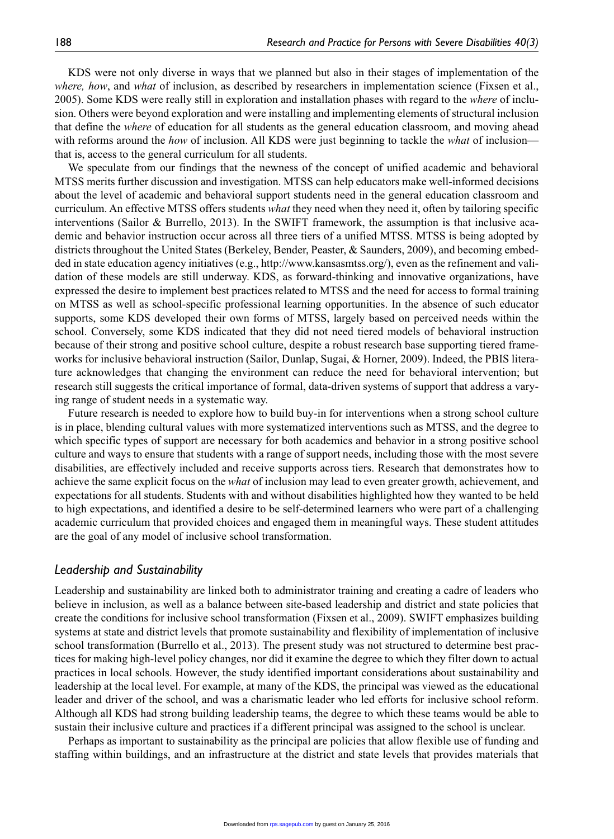KDS were not only diverse in ways that we planned but also in their stages of implementation of the *where, how*, and *what* of inclusion, as described by researchers in implementation science (Fixsen et al., 2005). Some KDS were really still in exploration and installation phases with regard to the *where* of inclusion. Others were beyond exploration and were installing and implementing elements of structural inclusion that define the *where* of education for all students as the general education classroom, and moving ahead with reforms around the *how* of inclusion. All KDS were just beginning to tackle the *what* of inclusion that is, access to the general curriculum for all students.

We speculate from our findings that the newness of the concept of unified academic and behavioral MTSS merits further discussion and investigation. MTSS can help educators make well-informed decisions about the level of academic and behavioral support students need in the general education classroom and curriculum. An effective MTSS offers students *what* they need when they need it, often by tailoring specific interventions (Sailor & Burrello, 2013). In the SWIFT framework, the assumption is that inclusive academic and behavior instruction occur across all three tiers of a unified MTSS. MTSS is being adopted by districts throughout the United States (Berkeley, Bender, Peaster, & Saunders, 2009), and becoming embedded in state education agency initiatives (e.g.,<http://www.kansasmtss.org/>), even as the refinement and validation of these models are still underway. KDS, as forward-thinking and innovative organizations, have expressed the desire to implement best practices related to MTSS and the need for access to formal training on MTSS as well as school-specific professional learning opportunities. In the absence of such educator supports, some KDS developed their own forms of MTSS, largely based on perceived needs within the school. Conversely, some KDS indicated that they did not need tiered models of behavioral instruction because of their strong and positive school culture, despite a robust research base supporting tiered frameworks for inclusive behavioral instruction (Sailor, Dunlap, Sugai, & Horner, 2009). Indeed, the PBIS literature acknowledges that changing the environment can reduce the need for behavioral intervention; but research still suggests the critical importance of formal, data-driven systems of support that address a varying range of student needs in a systematic way.

Future research is needed to explore how to build buy-in for interventions when a strong school culture is in place, blending cultural values with more systematized interventions such as MTSS, and the degree to which specific types of support are necessary for both academics and behavior in a strong positive school culture and ways to ensure that students with a range of support needs, including those with the most severe disabilities, are effectively included and receive supports across tiers. Research that demonstrates how to achieve the same explicit focus on the *what* of inclusion may lead to even greater growth, achievement, and expectations for all students. Students with and without disabilities highlighted how they wanted to be held to high expectations, and identified a desire to be self-determined learners who were part of a challenging academic curriculum that provided choices and engaged them in meaningful ways. These student attitudes are the goal of any model of inclusive school transformation.

#### *Leadership and Sustainability*

Leadership and sustainability are linked both to administrator training and creating a cadre of leaders who believe in inclusion, as well as a balance between site-based leadership and district and state policies that create the conditions for inclusive school transformation (Fixsen et al., 2009). SWIFT emphasizes building systems at state and district levels that promote sustainability and flexibility of implementation of inclusive school transformation (Burrello et al., 2013). The present study was not structured to determine best practices for making high-level policy changes, nor did it examine the degree to which they filter down to actual practices in local schools. However, the study identified important considerations about sustainability and leadership at the local level. For example, at many of the KDS, the principal was viewed as the educational leader and driver of the school, and was a charismatic leader who led efforts for inclusive school reform. Although all KDS had strong building leadership teams, the degree to which these teams would be able to sustain their inclusive culture and practices if a different principal was assigned to the school is unclear.

Perhaps as important to sustainability as the principal are policies that allow flexible use of funding and staffing within buildings, and an infrastructure at the district and state levels that provides materials that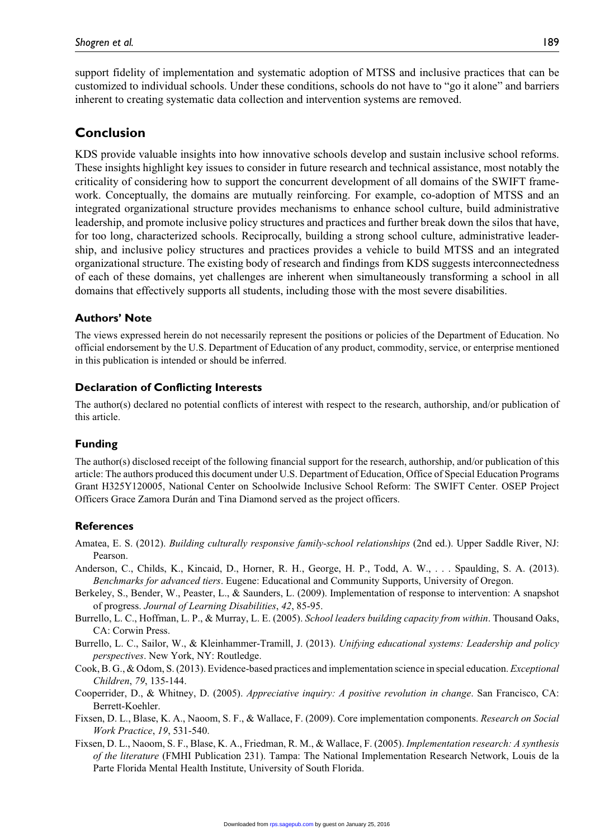support fidelity of implementation and systematic adoption of MTSS and inclusive practices that can be customized to individual schools. Under these conditions, schools do not have to "go it alone" and barriers inherent to creating systematic data collection and intervention systems are removed.

### **Conclusion**

KDS provide valuable insights into how innovative schools develop and sustain inclusive school reforms. These insights highlight key issues to consider in future research and technical assistance, most notably the criticality of considering how to support the concurrent development of all domains of the SWIFT framework. Conceptually, the domains are mutually reinforcing. For example, co-adoption of MTSS and an integrated organizational structure provides mechanisms to enhance school culture, build administrative leadership, and promote inclusive policy structures and practices and further break down the silos that have, for too long, characterized schools. Reciprocally, building a strong school culture, administrative leadership, and inclusive policy structures and practices provides a vehicle to build MTSS and an integrated organizational structure. The existing body of research and findings from KDS suggests interconnectedness of each of these domains, yet challenges are inherent when simultaneously transforming a school in all domains that effectively supports all students, including those with the most severe disabilities.

#### **Authors' Note**

The views expressed herein do not necessarily represent the positions or policies of the Department of Education. No official endorsement by the U.S. Department of Education of any product, commodity, service, or enterprise mentioned in this publication is intended or should be inferred.

#### **Declaration of Conflicting Interests**

The author(s) declared no potential conflicts of interest with respect to the research, authorship, and/or publication of this article.

### **Funding**

The author(s) disclosed receipt of the following financial support for the research, authorship, and/or publication of this article: The authors produced this document under U.S. Department of Education, Office of Special Education Programs Grant H325Y120005, National Center on Schoolwide Inclusive School Reform: The SWIFT Center. OSEP Project Officers Grace Zamora Durán and Tina Diamond served as the project officers.

#### **References**

- Amatea, E. S. (2012). *Building culturally responsive family-school relationships* (2nd ed.). Upper Saddle River, NJ: Pearson.
- Anderson, C., Childs, K., Kincaid, D., Horner, R. H., George, H. P., Todd, A. W., . . . Spaulding, S. A. (2013). *Benchmarks for advanced tiers*. Eugene: Educational and Community Supports, University of Oregon.
- Berkeley, S., Bender, W., Peaster, L., & Saunders, L. (2009). Implementation of response to intervention: A snapshot of progress. *Journal of Learning Disabilities*, *42*, 85-95.
- Burrello, L. C., Hoffman, L. P., & Murray, L. E. (2005). *School leaders building capacity from within*. Thousand Oaks, CA: Corwin Press.
- Burrello, L. C., Sailor, W., & Kleinhammer-Tramill, J. (2013). *Unifying educational systems: Leadership and policy perspectives*. New York, NY: Routledge.
- Cook, B. G., & Odom, S. (2013). Evidence-based practices and implementation science in special education. *Exceptional Children*, *79*, 135-144.
- Cooperrider, D., & Whitney, D. (2005). *Appreciative inquiry: A positive revolution in change*. San Francisco, CA: Berrett-Koehler.
- Fixsen, D. L., Blase, K. A., Naoom, S. F., & Wallace, F. (2009). Core implementation components. *Research on Social Work Practice*, *19*, 531-540.
- Fixsen, D. L., Naoom, S. F., Blase, K. A., Friedman, R. M., & Wallace, F. (2005). *Implementation research: A synthesis of the literature* (FMHI Publication 231). Tampa: The National Implementation Research Network, Louis de la Parte Florida Mental Health Institute, University of South Florida.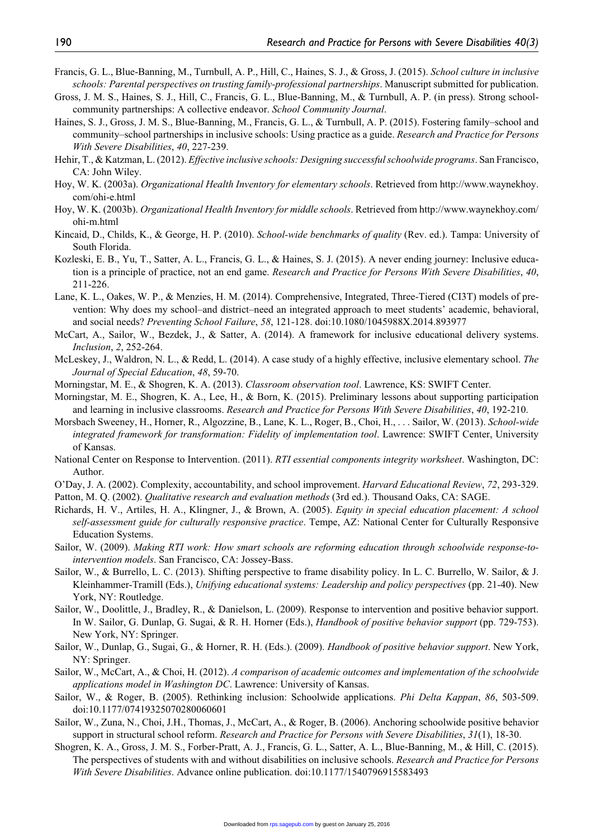- Francis, G. L., Blue-Banning, M., Turnbull, A. P., Hill, C., Haines, S. J., & Gross, J. (2015). *School culture in inclusive schools: Parental perspectives on trusting family-professional partnerships*. Manuscript submitted for publication.
- Gross, J. M. S., Haines, S. J., Hill, C., Francis, G. L., Blue-Banning, M., & Turnbull, A. P. (in press). Strong schoolcommunity partnerships: A collective endeavor. *School Community Journal*.
- Haines, S. J., Gross, J. M. S., Blue-Banning, M., Francis, G. L., & Turnbull, A. P. (2015). Fostering family–school and community–school partnerships in inclusive schools: Using practice as a guide. *Research and Practice for Persons With Severe Disabilities*, *40*, 227-239.
- Hehir, T., & Katzman, L. (2012). *Effective inclusive schools: Designing successful schoolwide programs*. San Francisco, CA: John Wiley.
- Hoy, W. K. (2003a). *Organizational Health Inventory for elementary schools*. Retrieved from [http://www.waynekhoy.](http://www.waynekhoy.com/ohi-e.html) [com/ohi-e.html](http://www.waynekhoy.com/ohi-e.html)
- Hoy, W. K. (2003b). *Organizational Health Inventory for middle schools*. Retrieved from [http://www.waynekhoy.com/](http://www.waynekhoy.com/ohi-m.html) [ohi-m.html](http://www.waynekhoy.com/ohi-m.html)
- Kincaid, D., Childs, K., & George, H. P. (2010). *School-wide benchmarks of quality* (Rev. ed.). Tampa: University of South Florida.
- Kozleski, E. B., Yu, T., Satter, A. L., Francis, G. L., & Haines, S. J. (2015). A never ending journey: Inclusive education is a principle of practice, not an end game. *Research and Practice for Persons With Severe Disabilities*, *40*, 211-226.
- Lane, K. L., Oakes, W. P., & Menzies, H. M. (2014). Comprehensive, Integrated, Three-Tiered (CI3T) models of prevention: Why does my school–and district–need an integrated approach to meet students' academic, behavioral, and social needs? *Preventing School Failure*, *58*, 121-128. doi:10.1080/1045988X.2014.893977
- McCart, A., Sailor, W., Bezdek, J., & Satter, A. (2014). A framework for inclusive educational delivery systems. *Inclusion*, *2*, 252-264.
- McLeskey, J., Waldron, N. L., & Redd, L. (2014). A case study of a highly effective, inclusive elementary school. *The Journal of Special Education*, *48*, 59-70.
- Morningstar, M. E., & Shogren, K. A. (2013). *Classroom observation tool*. Lawrence, KS: SWIFT Center.
- Morningstar, M. E., Shogren, K. A., Lee, H., & Born, K. (2015). Preliminary lessons about supporting participation and learning in inclusive classrooms. *Research and Practice for Persons With Severe Disabilities*, *40*, 192-210.
- Morsbach Sweeney, H., Horner, R., Algozzine, B., Lane, K. L., Roger, B., Choi, H., . . . Sailor, W. (2013). *School-wide integrated framework for transformation: Fidelity of implementation tool*. Lawrence: SWIFT Center, University of Kansas.
- National Center on Response to Intervention. (2011). *RTI essential components integrity worksheet*. Washington, DC: Author.
- O'Day, J. A. (2002). Complexity, accountability, and school improvement. *Harvard Educational Review*, *72*, 293-329.
- Patton, M. Q. (2002). *Qualitative research and evaluation methods* (3rd ed.). Thousand Oaks, CA: SAGE.
- Richards, H. V., Artiles, H. A., Klingner, J., & Brown, A. (2005). *Equity in special education placement: A school self-assessment guide for culturally responsive practice*. Tempe, AZ: National Center for Culturally Responsive Education Systems.
- Sailor, W. (2009). *Making RTI work: How smart schools are reforming education through schoolwide response-tointervention models*. San Francisco, CA: Jossey-Bass.
- Sailor, W., & Burrello, L. C. (2013). Shifting perspective to frame disability policy. In L. C. Burrello, W. Sailor, & J. Kleinhammer-Tramill (Eds.), *Unifying educational systems: Leadership and policy perspectives* (pp. 21-40). New York, NY: Routledge.
- Sailor, W., Doolittle, J., Bradley, R., & Danielson, L. (2009). Response to intervention and positive behavior support. In W. Sailor, G. Dunlap, G. Sugai, & R. H. Horner (Eds.), *Handbook of positive behavior support* (pp. 729-753). New York, NY: Springer.
- Sailor, W., Dunlap, G., Sugai, G., & Horner, R. H. (Eds.). (2009). *Handbook of positive behavior support*. New York, NY: Springer.
- Sailor, W., McCart, A., & Choi, H. (2012). *A comparison of academic outcomes and implementation of the schoolwide applications model in Washington DC*. Lawrence: University of Kansas.
- Sailor, W., & Roger, B. (2005). Rethinking inclusion: Schoolwide applications. *Phi Delta Kappan*, *86*, 503-509. doi:10.1177/07419325070280060601
- Sailor, W., Zuna, N., Choi, J.H., Thomas, J., McCart, A., & Roger, B. (2006). Anchoring schoolwide positive behavior support in structural school reform. *Research and Practice for Persons with Severe Disabilities*, *31*(1), 18-30.
- Shogren, K. A., Gross, J. M. S., Forber-Pratt, A. J., Francis, G. L., Satter, A. L., Blue-Banning, M., & Hill, C. (2015). The perspectives of students with and without disabilities on inclusive schools. *Research and Practice for Persons With Severe Disabilities*. Advance online publication. doi:10.1177/1540796915583493